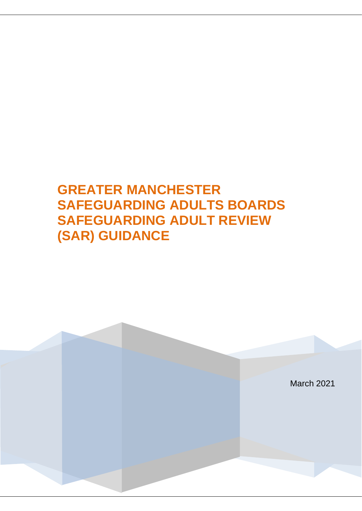# **GREATER MANCHESTER SAFEGUARDING ADULTS BOARDS SAFEGUARDING ADULT REVIEW (SAR) GUIDANCE**

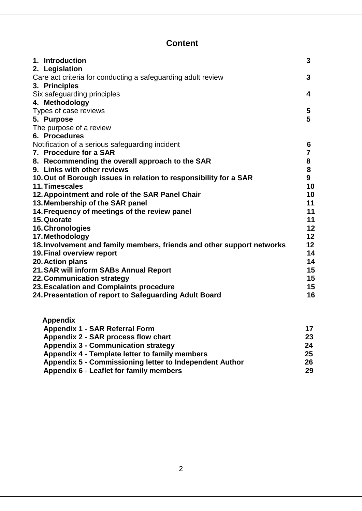| 1. Introduction<br>2. Legislation                                      | 3  |
|------------------------------------------------------------------------|----|
| Care act criteria for conducting a safeguarding adult review           | 3  |
| 3. Principles                                                          |    |
| Six safeguarding principles                                            | 4  |
| 4. Methodology                                                         |    |
| Types of case reviews                                                  | 5  |
| 5. Purpose                                                             | 5  |
| The purpose of a review                                                |    |
| 6. Procedures                                                          |    |
| Notification of a serious safeguarding incident                        | 6  |
| 7. Procedure for a SAR                                                 | 7  |
| 8. Recommending the overall approach to the SAR                        | 8  |
| 9. Links with other reviews                                            | 8  |
| 10. Out of Borough issues in relation to responsibility for a SAR      | 9  |
| 11. Timescales                                                         | 10 |
| 12. Appointment and role of the SAR Panel Chair                        | 10 |
| 13. Membership of the SAR panel                                        | 11 |
| 14. Frequency of meetings of the review panel                          | 11 |
| 15. Quorate                                                            | 11 |
| 16. Chronologies                                                       | 12 |
| 17. Methodology                                                        | 12 |
| 18. Involvement and family members, friends and other support networks | 12 |
| <b>19. Final overview report</b>                                       | 14 |
| 20. Action plans                                                       | 14 |
| 21. SAR will inform SABs Annual Report                                 | 15 |
| 22. Communication strategy                                             | 15 |
| 23. Escalation and Complaints procedure                                | 15 |
| 24. Presentation of report to Safeguarding Adult Board                 | 16 |
|                                                                        |    |

| <b>Appendix</b>                                         |    |
|---------------------------------------------------------|----|
| <b>Appendix 1 - SAR Referral Form</b>                   | 17 |
| Appendix 2 - SAR process flow chart                     | 23 |
| <b>Appendix 3 - Communication strategy</b>              | 24 |
| Appendix 4 - Template letter to family members          | 25 |
| Appendix 5 - Commissioning letter to Independent Author | 26 |
| Appendix 6 - Leaflet for family members                 | 29 |
|                                                         |    |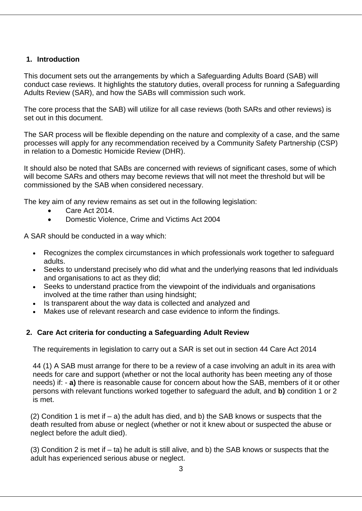# **1. Introduction**

This document sets out the arrangements by which a Safeguarding Adults Board (SAB) will conduct case reviews. It highlights the statutory duties, overall process for running a Safeguarding Adults Review (SAR), and how the SABs will commission such work.

The core process that the SAB) will utilize for all case reviews (both SARs and other reviews) is set out in this document.

The SAR process will be flexible depending on the nature and complexity of a case, and the same processes will apply for any recommendation received by a Community Safety Partnership (CSP) in relation to a Domestic Homicide Review (DHR).

It should also be noted that SABs are concerned with reviews of significant cases, some of which will become SARs and others may become reviews that will not meet the threshold but will be commissioned by the SAB when considered necessary.

The key aim of any review remains as set out in the following legislation:

- Care Act 2014.
- Domestic Violence, Crime and Victims Act 2004

A SAR should be conducted in a way which:

- Recognizes the complex circumstances in which professionals work together to safeguard adults.
- Seeks to understand precisely who did what and the underlying reasons that led individuals and organisations to act as they did;
- Seeks to understand practice from the viewpoint of the individuals and organisations involved at the time rather than using hindsight;
- Is transparent about the way data is collected and analyzed and
- Makes use of relevant research and case evidence to inform the findings.

# **2. Care Act criteria for conducting a Safeguarding Adult Review**

The requirements in legislation to carry out a SAR is set out in section 44 Care Act 2014

44 (1) A SAB must arrange for there to be a review of a case involving an adult in its area with needs for care and support (whether or not the local authority has been meeting any of those needs) if: - **a)** there is reasonable cause for concern about how the SAB, members of it or other persons with relevant functions worked together to safeguard the adult, and **b)** condition 1 or 2 is met.

(2) Condition 1 is met if  $-$  a) the adult has died, and b) the SAB knows or suspects that the death resulted from abuse or neglect (whether or not it knew about or suspected the abuse or neglect before the adult died).

(3) Condition 2 is met if – ta) he adult is still alive, and b) the SAB knows or suspects that the adult has experienced serious abuse or neglect.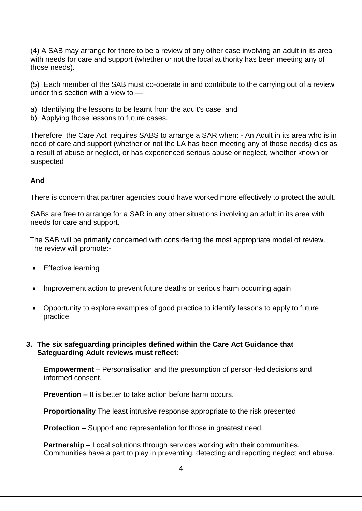(4) A SAB may arrange for there to be a review of any other case involving an adult in its area with needs for care and support (whether or not the local authority has been meeting any of those needs).

(5) Each member of the SAB must co-operate in and contribute to the carrying out of a review under this section with a view to —

- a) Identifying the lessons to be learnt from the adult's case, and
- b) Applying those lessons to future cases.

Therefore, the Care Act requires SABS to arrange a SAR when: - An Adult in its area who is in need of care and support (whether or not the LA has been meeting any of those needs) dies as a result of abuse or neglect, or has experienced serious abuse or neglect, whether known or suspected

## **And**

There is concern that partner agencies could have worked more effectively to protect the adult.

SABs are free to arrange for a SAR in any other situations involving an adult in its area with needs for care and support.

The SAB will be primarily concerned with considering the most appropriate model of review. The review will promote:-

- Effective learning
- Improvement action to prevent future deaths or serious harm occurring again
- Opportunity to explore examples of good practice to identify lessons to apply to future practice

## **3. The six safeguarding principles defined within the Care Act Guidance that Safeguarding Adult reviews must reflect:**

**Empowerment** – Personalisation and the presumption of person-led decisions and informed consent.

**Prevention** – It is better to take action before harm occurs.

**Proportionality** The least intrusive response appropriate to the risk presented

**Protection** – Support and representation for those in greatest need.

**Partnership** – Local solutions through services working with their communities. Communities have a part to play in preventing, detecting and reporting neglect and abuse.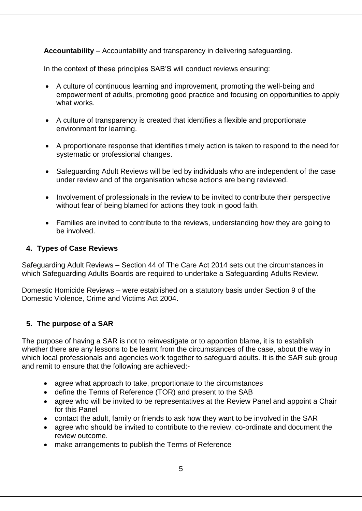**Accountability** – Accountability and transparency in delivering safeguarding.

In the context of these principles SAB'S will conduct reviews ensuring:

- A culture of continuous learning and improvement, promoting the well-being and empowerment of adults, promoting good practice and focusing on opportunities to apply what works.
- A culture of transparency is created that identifies a flexible and proportionate environment for learning.
- A proportionate response that identifies timely action is taken to respond to the need for systematic or professional changes.
- Safeguarding Adult Reviews will be led by individuals who are independent of the case under review and of the organisation whose actions are being reviewed.
- Involvement of professionals in the review to be invited to contribute their perspective without fear of being blamed for actions they took in good faith.
- Families are invited to contribute to the reviews, understanding how they are going to be involved.

## **4. Types of Case Reviews**

Safeguarding Adult Reviews – Section 44 of [The Care Act 2014](http://www.legislation.gov.uk/ukpga/2014/23/section/44/enacted) sets out the circumstances in which Safeguarding Adults Boards are required to undertake a Safeguarding Adults Review.

Domestic Homicide Reviews – were established on a statutory basis under Section 9 of the [Domestic Violence, Crime and Victims Act 2004.](http://www.legislation.gov.uk/ukpga/2004/28/section/9)

# **5. The purpose of a SAR**

The purpose of having a SAR is not to reinvestigate or to apportion blame, it is to establish whether there are any lessons to be learnt from the circumstances of the case, about the way in which local professionals and agencies work together to safeguard adults. It is the SAR sub group and remit to ensure that the following are achieved:-

- agree what approach to take, proportionate to the circumstances
- define the Terms of Reference (TOR) and present to the SAB
- agree who will be invited to be representatives at the Review Panel and appoint a Chair for this Panel
- contact the adult, family or friends to ask how they want to be involved in the SAR
- agree who should be invited to contribute to the review, co-ordinate and document the review outcome.
- make arrangements to publish the Terms of Reference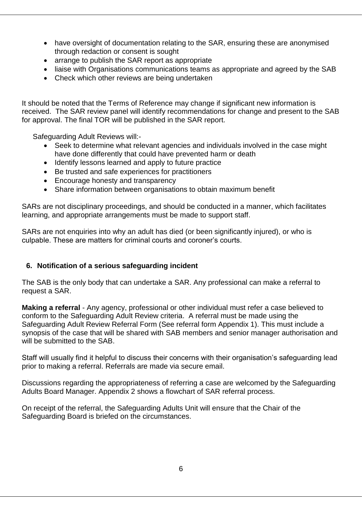- have oversight of documentation relating to the SAR, ensuring these are anonymised through redaction or consent is sought
- arrange to publish the SAR report as appropriate
- liaise with Organisations communications teams as appropriate and agreed by the SAB
- Check which other reviews are being undertaken

It should be noted that the Terms of Reference may change if significant new information is received. The SAR review panel will identify recommendations for change and present to the SAB for approval. The final TOR will be published in the SAR report.

Safeguarding Adult Reviews will:-

- Seek to determine what relevant agencies and individuals involved in the case might have done differently that could have prevented harm or death
- Identify lessons learned and apply to future practice
- Be trusted and safe experiences for practitioners
- Encourage honesty and transparency
- Share information between organisations to obtain maximum benefit

SARs are not disciplinary proceedings, and should be conducted in a manner, which facilitates learning, and appropriate arrangements must be made to support staff.

SARs are not enquiries into why an adult has died (or been significantly injured), or who is culpable. These are matters for criminal courts and coroner's courts.

# **6. Notification of a serious safeguarding incident**

The SAB is the only body that can undertake a SAR. Any professional can make a referral to request a SAR.

**Making a referral** - Any agency, professional or other individual must refer a case believed to conform to the Safeguarding Adult Review criteria. A referral must be made using the Safeguarding Adult Review Referral Form (See referral form Appendix 1). This must include a synopsis of the case that will be shared with SAB members and senior manager authorisation and will be submitted to the SAB.

Staff will usually find it helpful to discuss their concerns with their organisation's safeguarding lead prior to making a referral. Referrals are made via secure email.

Discussions regarding the appropriateness of referring a case are welcomed by the Safeguarding Adults Board Manager. Appendix 2 shows a flowchart of SAR referral process.

On receipt of the referral, the Safeguarding Adults Unit will ensure that the Chair of the Safeguarding Board is briefed on the circumstances.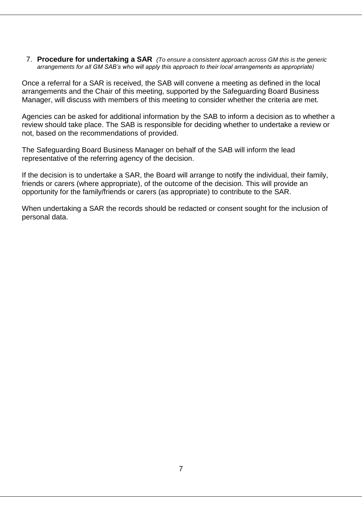7. **Procedure for undertaking a SAR** *(To ensure a consistent approach across GM this is the generic arrangements for all GM SAB's who will apply this approach to their local arrangements as appropriate)*

Once a referral for a SAR is received, the SAB will convene a meeting as defined in the local arrangements and the Chair of this meeting, supported by the Safeguarding Board Business Manager, will discuss with members of this meeting to consider whether the criteria are met.

Agencies can be asked for additional information by the SAB to inform a decision as to whether a review should take place. The SAB is responsible for deciding whether to undertake a review or not, based on the recommendations of provided.

The Safeguarding Board Business Manager on behalf of the SAB will inform the lead representative of the referring agency of the decision.

If the decision is to undertake a SAR, the Board will arrange to notify the individual, their family, friends or carers (where appropriate), of the outcome of the decision. This will provide an opportunity for the family/friends or carers (as appropriate) to contribute to the SAR.

When undertaking a SAR the records should be redacted or consent sought for the inclusion of personal data.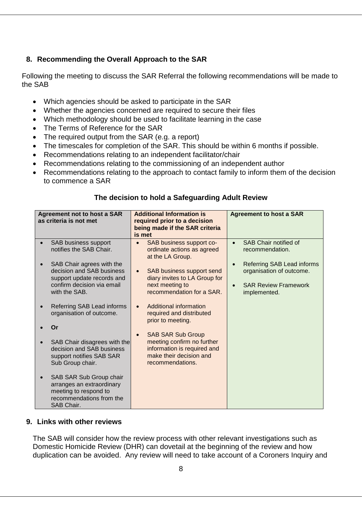# **8. Recommending the Overall Approach to the SAR**

Following the meeting to discuss the SAR Referral the following recommendations will be made to the SAB

- Which agencies should be asked to participate in the SAR
- Whether the agencies concerned are required to secure their files
- Which methodology should be used to facilitate learning in the case
- The Terms of Reference for the SAR
- The required output from the SAR (e.g. a report)
- The timescales for completion of the SAR. This should be within 6 months if possible.
- Recommendations relating to an independent facilitator/chair
- Recommendations relating to the commissioning of an independent author
- Recommendations relating to the approach to contact family to inform them of the decision to commence a SAR

| <b>Agreement not to host a SAR</b><br>as criteria is not met                                                            | is met    | <b>Additional Information is</b><br>required prior to a decision<br>being made if the SAR criteria       |           | <b>Agreement to host a SAR</b>                         |
|-------------------------------------------------------------------------------------------------------------------------|-----------|----------------------------------------------------------------------------------------------------------|-----------|--------------------------------------------------------|
| SAB business support<br>notifies the SAB Chair.                                                                         | $\bullet$ | SAB business support co-<br>ordinate actions as agreed<br>at the LA Group.                               | $\bullet$ | SAB Chair notified of<br>recommendation.               |
| SAB Chair agrees with the<br>decision and SAB business<br>support update records and                                    | $\bullet$ | SAB business support send<br>diary invites to LA Group for                                               | $\bullet$ | Referring SAB Lead informs<br>organisation of outcome. |
| confirm decision via email<br>with the SAB.                                                                             |           | next meeting to<br>recommendation for a SAR.                                                             | $\bullet$ | <b>SAR Review Framework</b><br>implemented.            |
| Referring SAB Lead informs<br>organisation of outcome.                                                                  | $\bullet$ | Additional information<br>required and distributed<br>prior to meeting.                                  |           |                                                        |
| Or                                                                                                                      | $\bullet$ | <b>SAB SAR Sub Group</b>                                                                                 |           |                                                        |
| SAB Chair disagrees with the<br>decision and SAB business<br>support notifies SAB SAR<br>Sub Group chair.               |           | meeting confirm no further<br>information is required and<br>make their decision and<br>recommendations. |           |                                                        |
| SAB SAR Sub Group chair<br>arranges an extraordinary<br>meeting to respond to<br>recommendations from the<br>SAB Chair. |           |                                                                                                          |           |                                                        |

#### **The decision to hold a Safeguarding Adult Review**

#### **9. Links with other reviews**

The SAB will consider how the review process with other relevant investigations such as Domestic Homicide Review (DHR) can dovetail at the beginning of the review and how duplication can be avoided. Any review will need to take account of a Coroners Inquiry and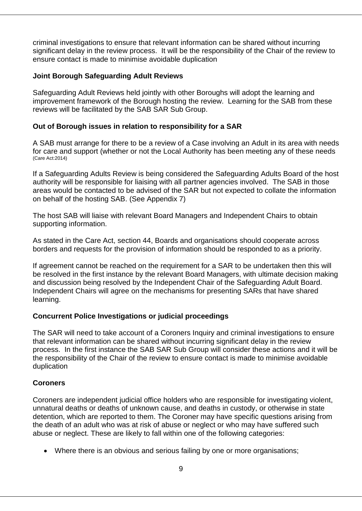criminal investigations to ensure that relevant information can be shared without incurring significant delay in the review process. It will be the responsibility of the Chair of the review to ensure contact is made to minimise avoidable duplication

#### **Joint Borough Safeguarding Adult Reviews**

Safeguarding Adult Reviews held jointly with other Boroughs will adopt the learning and improvement framework of the Borough hosting the review. Learning for the SAB from these reviews will be facilitated by the SAB SAR Sub Group.

#### **Out of Borough issues in relation to responsibility for a SAR**

A SAB must arrange for there to be a review of a Case involving an Adult in its area with needs for care and support (whether or not the Local Authority has been meeting any of these needs (Care Act:2014)

If a Safeguarding Adults Review is being considered the Safeguarding Adults Board of the host authority will be responsible for liaising with all partner agencies involved. The SAB in those areas would be contacted to be advised of the SAR but not expected to collate the information on behalf of the hosting SAB. (See Appendix 7)

The host SAB will liaise with relevant Board Managers and Independent Chairs to obtain supporting information.

As stated in the Care Act, section 44, Boards and organisations should cooperate across borders and requests for the provision of information should be responded to as a priority.

If agreement cannot be reached on the requirement for a SAR to be undertaken then this will be resolved in the first instance by the relevant Board Managers, with ultimate decision making and discussion being resolved by the Independent Chair of the Safeguarding Adult Board. Independent Chairs will agree on the mechanisms for presenting SARs that have shared learning.

#### **Concurrent Police Investigations or judicial proceedings**

The SAR will need to take account of a Coroners Inquiry and criminal investigations to ensure that relevant information can be shared without incurring significant delay in the review process. In the first instance the SAB SAR Sub Group will consider these actions and it will be the responsibility of the Chair of the review to ensure contact is made to minimise avoidable duplication

#### **Coroners**

Coroners are independent judicial office holders who are responsible for investigating violent, unnatural deaths or deaths of unknown cause, and deaths in custody, or otherwise in state detention, which are reported to them. The Coroner may have specific questions arising from the death of an adult who was at risk of abuse or neglect or who may have suffered such abuse or neglect. These are likely to fall within one of the following categories:

Where there is an obvious and serious failing by one or more organisations;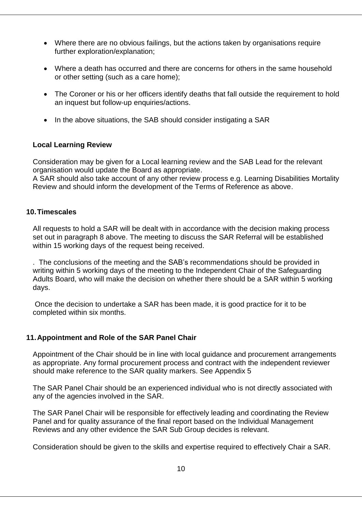- Where there are no obvious failings, but the actions taken by organisations require further exploration/explanation;
- Where a death has occurred and there are concerns for others in the same household or other setting (such as a care home);
- The Coroner or his or her officers identify deaths that fall outside the requirement to hold an inquest but follow-up enquiries/actions.
- In the above situations, the SAB should consider instigating a SAR

#### **Local Learning Review**

Consideration may be given for a Local learning review and the SAB Lead for the relevant organisation would update the Board as appropriate.

A SAR should also take account of any other review process e.g. Learning Disabilities Mortality Review and should inform the development of the Terms of Reference as above.

#### **10.Timescales**

All requests to hold a SAR will be dealt with in accordance with the decision making process set out in paragraph 8 above. The meeting to discuss the SAR Referral will be established within 15 working days of the request being received.

. The conclusions of the meeting and the SAB's recommendations should be provided in writing within 5 working days of the meeting to the Independent Chair of the Safeguarding Adults Board, who will make the decision on whether there should be a SAR within 5 working days.

Once the decision to undertake a SAR has been made, it is good practice for it to be completed within six months.

# **11.Appointment and Role of the SAR Panel Chair**

Appointment of the Chair should be in line with local guidance and procurement arrangements as appropriate. Any formal procurement process and contract with the independent reviewer should make reference to the SAR quality markers. See Appendix 5

The SAR Panel Chair should be an experienced individual who is not directly associated with any of the agencies involved in the SAR.

The SAR Panel Chair will be responsible for effectively leading and coordinating the Review Panel and for quality assurance of the final report based on the Individual Management Reviews and any other evidence the SAR Sub Group decides is relevant.

Consideration should be given to the skills and expertise required to effectively Chair a SAR.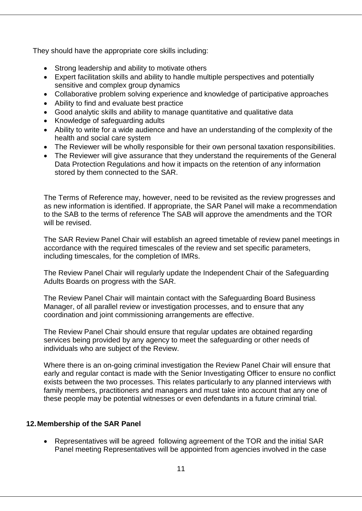They should have the appropriate core skills including:

- Strong leadership and ability to motivate others
- Expert facilitation skills and ability to handle multiple perspectives and potentially sensitive and complex group dynamics
- Collaborative problem solving experience and knowledge of participative approaches
- Ability to find and evaluate best practice
- Good analytic skills and ability to manage quantitative and qualitative data
- Knowledge of safeguarding adults
- Ability to write for a wide audience and have an understanding of the complexity of the health and social care system
- The Reviewer will be wholly responsible for their own personal taxation responsibilities.
- The Reviewer will give assurance that they understand the requirements of the General Data Protection Regulations and how it impacts on the retention of any information stored by them connected to the SAR.

The Terms of Reference may, however, need to be revisited as the review progresses and as new information is identified. If appropriate, the SAR Panel will make a recommendation to the SAB to the terms of reference The SAB will approve the amendments and the TOR will be revised.

The SAR Review Panel Chair will establish an agreed timetable of review panel meetings in accordance with the required timescales of the review and set specific parameters, including timescales, for the completion of IMRs.

The Review Panel Chair will regularly update the Independent Chair of the Safeguarding Adults Boards on progress with the SAR.

The Review Panel Chair will maintain contact with the Safeguarding Board Business Manager, of all parallel review or investigation processes, and to ensure that any coordination and joint commissioning arrangements are effective.

The Review Panel Chair should ensure that regular updates are obtained regarding services being provided by any agency to meet the safeguarding or other needs of individuals who are subject of the Review.

Where there is an on-going criminal investigation the Review Panel Chair will ensure that early and regular contact is made with the Senior Investigating Officer to ensure no conflict exists between the two processes. This relates particularly to any planned interviews with family members, practitioners and managers and must take into account that any one of these people may be potential witnesses or even defendants in a future criminal trial.

# **12.Membership of the SAR Panel**

 Representatives will be agreed following agreement of the TOR and the initial SAR Panel meeting Representatives will be appointed from agencies involved in the case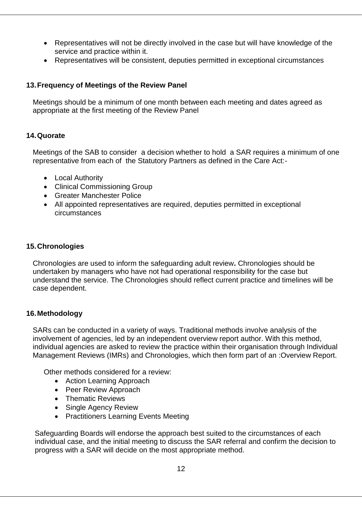- Representatives will not be directly involved in the case but will have knowledge of the service and practice within it.
- Representatives will be consistent, deputies permitted in exceptional circumstances

## **13.Frequency of Meetings of the Review Panel**

Meetings should be a minimum of one month between each meeting and dates agreed as appropriate at the first meeting of the Review Panel

#### **14.Quorate**

Meetings of the SAB to consider a decision whether to hold a SAR requires a minimum of one representative from each of the Statutory Partners as defined in the Care Act:-

- Local Authority
- Clinical Commissioning Group
- Greater Manchester Police
- All appointed representatives are required, deputies permitted in exceptional circumstances

## **15.Chronologies**

Chronologies are used to inform the safeguarding adult review**.** Chronologies should be undertaken by managers who have not had operational responsibility for the case but understand the service. The Chronologies should reflect current practice and timelines will be case dependent.

#### **16.Methodology**

SARs can be conducted in a variety of ways. Traditional methods involve analysis of the involvement of agencies, led by an independent overview report author. With this method, individual agencies are asked to review the practice within their organisation through Individual Management Reviews (IMRs) and Chronologies, which then form part of an :Overview Report.

Other methods considered for a review:

- Action Learning Approach
- Peer Review Approach
- Thematic Reviews
- Single Agency Review
- Practitioners Learning Events Meeting

Safeguarding Boards will endorse the approach best suited to the circumstances of each individual case, and the initial meeting to discuss the SAR referral and confirm the decision to progress with a SAR will decide on the most appropriate method.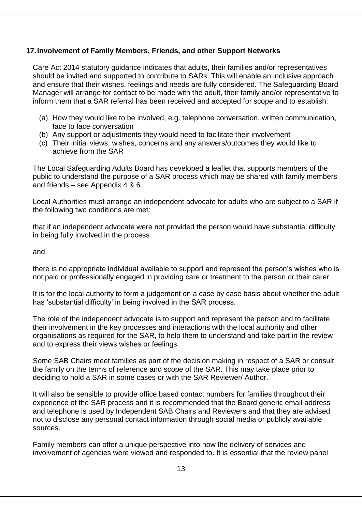## **17.Involvement of Family Members, Friends, and other Support Networks**

Care Act 2014 statutory guidance indicates that adults, their families and/or representatives should be invited and supported to contribute to SARs. This will enable an inclusive approach and ensure that their wishes, feelings and needs are fully considered. The Safeguarding Board Manager will arrange for contact to be made with the adult, their family and/or representative to inform them that a SAR referral has been received and accepted for scope and to establish:

- (a) How they would like to be involved, e.g. telephone conversation, written communication, face to face conversation
- (b) Any support or adjustments they would need to facilitate their involvement
- (c) Their initial views, wishes, concerns and any answers/outcomes they would like to achieve from the SAR

The Local Safeguarding Adults Board has developed a leaflet that supports members of the public to understand the purpose of a SAR process which may be shared with family members and friends – see Appendix 4 & 6

Local Authorities must arrange an independent advocate for adults who are subject to a SAR if the following two conditions are met:

that if an independent advocate were not provided the person would have substantial difficulty in being fully involved in the process

and

there is no appropriate individual available to support and represent the person's wishes who is not paid or professionally engaged in providing care or treatment to the person or their carer

It is for the local authority to form a judgement on a case by case basis about whether the adult has 'substantial difficulty' in being involved in the SAR process.

The role of the independent advocate is to support and represent the person and to facilitate their involvement in the key processes and interactions with the local authority and other organisations as required for the SAR, to help them to understand and take part in the review and to express their views wishes or feelings.

Some SAB Chairs meet families as part of the decision making in respect of a SAR or consult the family on the terms of reference and scope of the SAR. This may take place prior to deciding to hold a SAR in some cases or with the SAR Reviewer/ Author.

It will also be sensible to provide office based contact numbers for families throughout their experience of the SAR process and it is recommended that the Board generic email address and telephone is used by Independent SAB Chairs and Reviewers and that they are advised not to disclose any personal contact information through social media or publicly available sources.

Family members can offer a unique perspective into how the delivery of services and involvement of agencies were viewed and responded to. It is essential that the review panel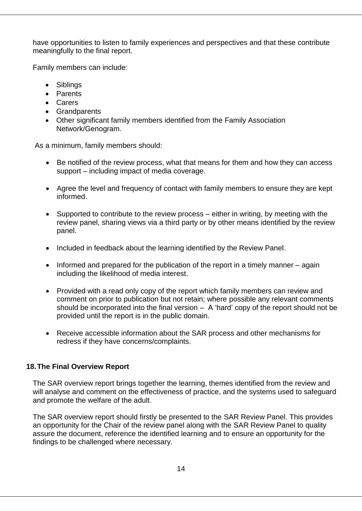have opportunities to listen to family experiences and perspectives and that these contribute meaningfully to the final report.

Family members can include:

- Siblings
- Parents
- Carers
- Grandparents
- Other significant family members identified from the Family Association Network/Genogram.

As a minimum, family members should:

- Be notified of the review process, what that means for them and how they can access support – including impact of media coverage.
- Agree the level and frequency of contact with family members to ensure they are kept informed.
- Supported to contribute to the review process either in writing, by meeting with the review panel, sharing views via a third party or by other means identified by the review panel.
- Included in feedback about the learning identified by the Review Panel.
- $\bullet$  Informed and prepared for the publication of the report in a timely manner again including the likelihood of media interest.
- Provided with a read only copy of the report which family members can review and comment on prior to publication but not retain; where possible any relevant comments should be incorporated into the final version  $-$  A 'hard' copy of the report should not be provided until the report is in the public domain.
- Receive accessible information about the SAR process and other mechanisms for redress if they have concerns/complaints.

#### **18.The Final Overview Report**

The SAR overview report brings together the learning, themes identified from the review and will analyse and comment on the effectiveness of practice, and the systems used to safeguard and promote the welfare of the adult.

The SAR overview report should firstly be presented to the SAR Review Panel. This provides an opportunity for the Chair of the review panel along with the SAR Review Panel to quality assure the document, reference the identified learning and to ensure an opportunity for the findings to be challenged where necessary.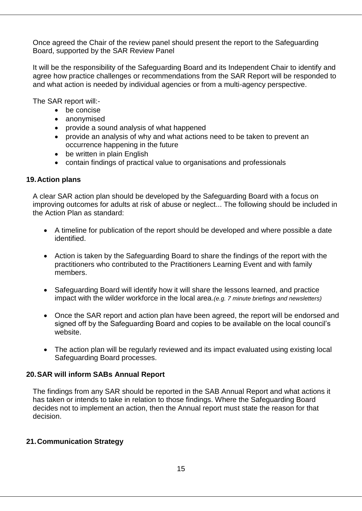Once agreed the Chair of the review panel should present the report to the Safeguarding Board, supported by the SAR Review Panel

It will be the responsibility of the Safeguarding Board and its Independent Chair to identify and agree how practice challenges or recommendations from the SAR Report will be responded to and what action is needed by individual agencies or from a multi-agency perspective.

The SAR report will:-

- be concise
- anonymised
- provide a sound analysis of what happened
- provide an analysis of why and what actions need to be taken to prevent an occurrence happening in the future
- be written in plain English
- contain findings of practical value to organisations and professionals

## **19.Action plans**

A clear SAR action plan should be developed by the Safeguarding Board with a focus on improving outcomes for adults at risk of abuse or neglect... The following should be included in the Action Plan as standard:

- A timeline for publication of the report should be developed and where possible a date identified.
- Action is taken by the Safeguarding Board to share the findings of the report with the practitioners who contributed to the Practitioners Learning Event and with family members.
- Safeguarding Board will identify how it will share the lessons learned, and practice impact with the wilder workforce in the local area.*(e.g. 7 minute briefings and newsletters)*
- Once the SAR report and action plan have been agreed, the report will be endorsed and signed off by the Safeguarding Board and copies to be available on the local council's website.
- The action plan will be regularly reviewed and its impact evaluated using existing local Safeguarding Board processes.

# **20.SAR will inform SABs Annual Report**

The findings from any SAR should be reported in the SAB Annual Report and what actions it has taken or intends to take in relation to those findings. Where the Safeguarding Board decides not to implement an action, then the Annual report must state the reason for that decision.

# **21.Communication Strategy**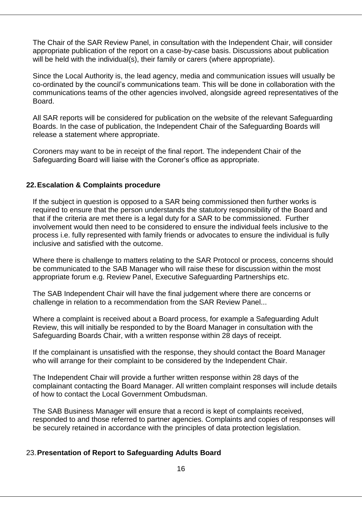The Chair of the SAR Review Panel, in consultation with the Independent Chair, will consider appropriate publication of the report on a case-by-case basis. Discussions about publication will be held with the individual(s), their family or carers (where appropriate).

Since the Local Authority is, the lead agency, media and communication issues will usually be co-ordinated by the council's communications team. This will be done in collaboration with the communications teams of the other agencies involved, alongside agreed representatives of the Board.

All SAR reports will be considered for publication on the website of the relevant Safeguarding Boards. In the case of publication, the Independent Chair of the Safeguarding Boards will release a statement where appropriate.

Coroners may want to be in receipt of the final report. The independent Chair of the Safeguarding Board will liaise with the Coroner's office as appropriate.

#### **22.Escalation & Complaints procedure**

If the subject in question is opposed to a SAR being commissioned then further works is required to ensure that the person understands the statutory responsibility of the Board and that if the criteria are met there is a legal duty for a SAR to be commissioned. Further involvement would then need to be considered to ensure the individual feels inclusive to the process i.e. fully represented with family friends or advocates to ensure the individual is fully inclusive and satisfied with the outcome.

Where there is challenge to matters relating to the SAR Protocol or process, concerns should be communicated to the SAB Manager who will raise these for discussion within the most appropriate forum e.g. Review Panel, Executive Safeguarding Partnerships etc.

The SAB Independent Chair will have the final judgement where there are concerns or challenge in relation to a recommendation from the SAR Review Panel...

Where a complaint is received about a Board process, for example a Safeguarding Adult Review, this will initially be responded to by the Board Manager in consultation with the Safeguarding Boards Chair, with a written response within 28 days of receipt.

If the complainant is unsatisfied with the response, they should contact the Board Manager who will arrange for their complaint to be considered by the Independent Chair.

The Independent Chair will provide a further written response within 28 days of the complainant contacting the Board Manager. All written complaint responses will include details of how to contact the Local Government Ombudsman.

The SAB Business Manager will ensure that a record is kept of complaints received, responded to and those referred to partner agencies. Complaints and copies of responses will be securely retained in accordance with the principles of data protection legislation.

#### 23.**Presentation of Report to Safeguarding Adults Board**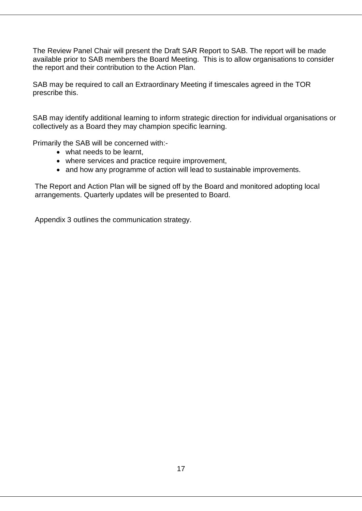The Review Panel Chair will present the Draft SAR Report to SAB. The report will be made available prior to SAB members the Board Meeting. This is to allow organisations to consider the report and their contribution to the Action Plan.

SAB may be required to call an Extraordinary Meeting if timescales agreed in the TOR prescribe this.

SAB may identify additional learning to inform strategic direction for individual organisations or collectively as a Board they may champion specific learning.

Primarily the SAB will be concerned with:-

- what needs to be learnt
- where services and practice require improvement,
- and how any programme of action will lead to sustainable improvements.

The Report and Action Plan will be signed off by the Board and monitored adopting local arrangements. Quarterly updates will be presented to Board.

Appendix 3 outlines the communication strategy.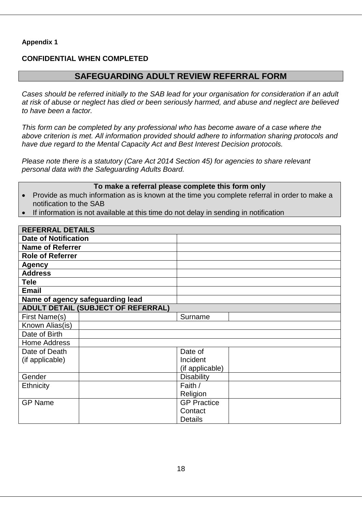#### **CONFIDENTIAL WHEN COMPLETED**

# **SAFEGUARDING ADULT REVIEW REFERRAL FORM**

*Cases should be referred initially to the SAB lead for your organisation for consideration if an adult at risk of abuse or neglect has died or been seriously harmed, and abuse and neglect are believed to have been a factor.*

*This form can be completed by any professional who has become aware of a case where the above criterion is met. All information provided should adhere to information sharing protocols and have due regard to the Mental Capacity Act and Best Interest Decision protocols.*

*Please note there is a statutory (Care Act 2014 Section 45) for agencies to share relevant personal data with the Safeguarding Adults Board.*

#### **To make a referral please complete this form only**

- Provide as much information as is known at the time you complete referral in order to make a notification to the SAB
- If information is not available at this time do not delay in sending in notification

| <b>REFERRAL DETAILS</b>                   |                    |
|-------------------------------------------|--------------------|
| <b>Date of Notification</b>               |                    |
| <b>Name of Referrer</b>                   |                    |
| <b>Role of Referrer</b>                   |                    |
| <b>Agency</b>                             |                    |
| <b>Address</b>                            |                    |
| <b>Tele</b>                               |                    |
| <b>Email</b>                              |                    |
| Name of agency safeguarding lead          |                    |
| <b>ADULT DETAIL (SUBJECT OF REFERRAL)</b> |                    |
| First Name(s)                             | Surname            |
| Known Alias(is)                           |                    |
| Date of Birth                             |                    |
| <b>Home Address</b>                       |                    |
| Date of Death                             | Date of            |
| (if applicable)                           | Incident           |
|                                           | (if applicable)    |
| Gender                                    | <b>Disability</b>  |
| Ethnicity                                 | Faith /            |
|                                           | Religion           |
| <b>GP Name</b>                            | <b>GP Practice</b> |
|                                           | Contact            |
|                                           | <b>Details</b>     |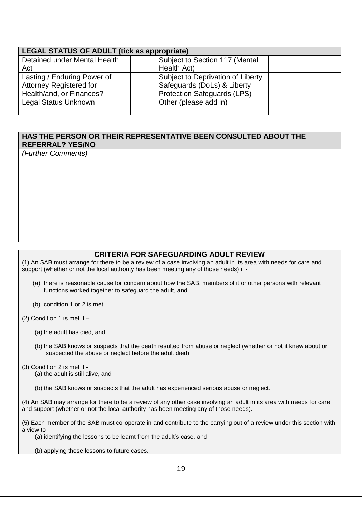| <b>LEGAL STATUS OF ADULT (tick as appropriate)</b> |                                    |  |  |
|----------------------------------------------------|------------------------------------|--|--|
| Detained under Mental Health                       | Subject to Section 117 (Mental     |  |  |
| Act                                                | Health Act)                        |  |  |
| Lasting / Enduring Power of                        | Subject to Deprivation of Liberty  |  |  |
| <b>Attorney Registered for</b>                     | Safeguards (DoLs) & Liberty        |  |  |
| Health/and, or Finances?                           | <b>Protection Safeguards (LPS)</b> |  |  |
| <b>Legal Status Unknown</b>                        | Other (please add in)              |  |  |
|                                                    |                                    |  |  |

#### **HAS THE PERSON OR THEIR REPRESENTATIVE BEEN CONSULTED ABOUT THE REFERRAL? YES/NO**

*(Further Comments)*

#### **CRITERIA FOR SAFEGUARDING ADULT REVIEW**

(1) An SAB must arrange for there to be a review of a case involving an adult in its area with needs for care and support (whether or not the local authority has been meeting any of those needs) if -

- (a) there is reasonable cause for concern about how the SAB, members of it or other persons with relevant functions worked together to safeguard the adult, and
- (b) condition 1 or 2 is met.

(2) Condition 1 is met if  $-$ 

- (a) the adult has died, and
- (b) the SAB knows or suspects that the death resulted from abuse or neglect (whether or not it knew about or suspected the abuse or neglect before the adult died).
- (3) Condition 2 is met if
	- (a) the adult is still alive, and
	- (b) the SAB knows or suspects that the adult has experienced serious abuse or neglect.

(4) An SAB may arrange for there to be a review of any other case involving an adult in its area with needs for care and support (whether or not the local authority has been meeting any of those needs).

(5) Each member of the SAB must co-operate in and contribute to the carrying out of a review under this section with a view to -

(a) identifying the lessons to be learnt from the adult's case, and

(b) applying those lessons to future cases.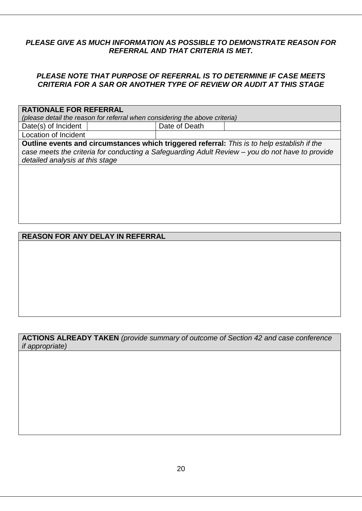# *PLEASE GIVE AS MUCH INFORMATION AS POSSIBLE TO DEMONSTRATE REASON FOR REFERRAL AND THAT CRITERIA IS MET.*

## *PLEASE NOTE THAT PURPOSE OF REFERRAL IS TO DETERMINE IF CASE MEETS CRITERIA FOR A SAR OR ANOTHER TYPE OF REVIEW OR AUDIT AT THIS STAGE*

#### **RATIONALE FOR REFERRAL**

*(please detail the reason for referral when considering the above criteria)*

Date(s) of Incident | Date of Death Location of Incident

**Outline events and circumstances which triggered referral:** *This is to help establish if the case meets the criteria for conducting a Safeguarding Adult Review – you do not have to provide detailed analysis at this stage*

# **REASON FOR ANY DELAY IN REFERRAL**

#### **ACTIONS ALREADY TAKEN** *(provide summary of outcome of Section 42 and case conference if appropriate)*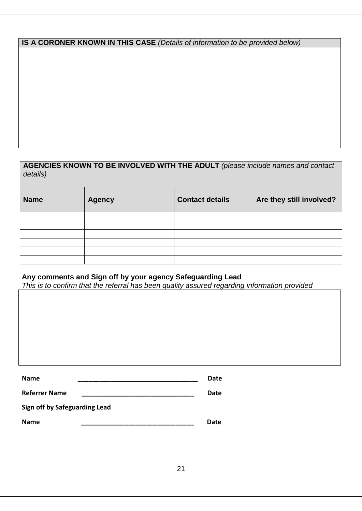# **IS A CORONER KNOWN IN THIS CASE** *(Details of information to be provided below)*

# **AGENCIES KNOWN TO BE INVOLVED WITH THE ADULT** *(please include names and contact details)*

| <b>Name</b> | <b>Agency</b> | <b>Contact details</b> | Are they still involved? |
|-------------|---------------|------------------------|--------------------------|
|             |               |                        |                          |
|             |               |                        |                          |
|             |               |                        |                          |
|             |               |                        |                          |
|             |               |                        |                          |
|             |               |                        |                          |

# **Any comments and Sign off by your agency Safeguarding Lead**

*This is to confirm that the referral has been quality assured regarding information provided*

| <b>Name</b>                   | Date |
|-------------------------------|------|
| <b>Referrer Name</b>          | Date |
| Sign off by Safeguarding Lead |      |
| <b>Name</b>                   | Date |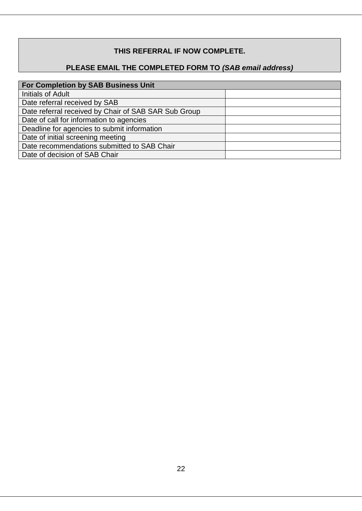# **THIS REFERRAL IF NOW COMPLETE.**

# **PLEASE EMAIL THE COMPLETED FORM TO** *(SAB email address)*

| <b>For Completion by SAB Business Unit</b>           |  |  |
|------------------------------------------------------|--|--|
| <b>Initials of Adult</b>                             |  |  |
| Date referral received by SAB                        |  |  |
| Date referral received by Chair of SAB SAR Sub Group |  |  |
| Date of call for information to agencies             |  |  |
| Deadline for agencies to submit information          |  |  |
| Date of initial screening meeting                    |  |  |
| Date recommendations submitted to SAB Chair          |  |  |
| Date of decision of SAB Chair                        |  |  |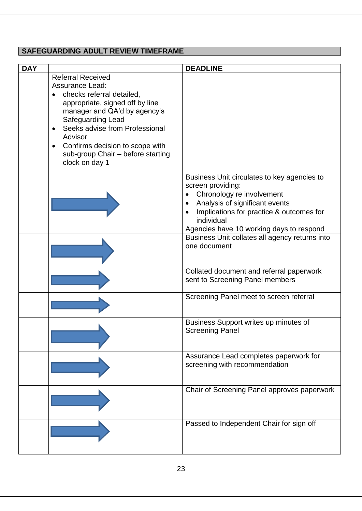# **SAFEGUARDING ADULT REVIEW TIMEFRAME**

| <b>DAY</b> |                                                                                                                                                                                                                                                                                                                                                       | <b>DEADLINE</b>                                                                                                                                                                                                                                                                                      |
|------------|-------------------------------------------------------------------------------------------------------------------------------------------------------------------------------------------------------------------------------------------------------------------------------------------------------------------------------------------------------|------------------------------------------------------------------------------------------------------------------------------------------------------------------------------------------------------------------------------------------------------------------------------------------------------|
|            | <b>Referral Received</b><br><b>Assurance Lead:</b><br>checks referral detailed,<br>$\bullet$<br>appropriate, signed off by line<br>manager and QA'd by agency's<br>Safeguarding Lead<br>Seeks advise from Professional<br>$\bullet$<br>Advisor<br>Confirms decision to scope with<br>$\bullet$<br>sub-group Chair - before starting<br>clock on day 1 |                                                                                                                                                                                                                                                                                                      |
|            |                                                                                                                                                                                                                                                                                                                                                       | Business Unit circulates to key agencies to<br>screen providing:<br>Chronology re involvement<br>$\bullet$<br>Analysis of significant events<br>Implications for practice & outcomes for<br>individual<br>Agencies have 10 working days to respond<br>Business Unit collates all agency returns into |
|            |                                                                                                                                                                                                                                                                                                                                                       | one document                                                                                                                                                                                                                                                                                         |
|            |                                                                                                                                                                                                                                                                                                                                                       | Collated document and referral paperwork<br>sent to Screening Panel members                                                                                                                                                                                                                          |
|            |                                                                                                                                                                                                                                                                                                                                                       | Screening Panel meet to screen referral                                                                                                                                                                                                                                                              |
|            |                                                                                                                                                                                                                                                                                                                                                       | Business Support writes up minutes of<br><b>Screening Panel</b>                                                                                                                                                                                                                                      |
|            |                                                                                                                                                                                                                                                                                                                                                       | Assurance Lead completes paperwork for<br>screening with recommendation                                                                                                                                                                                                                              |
|            |                                                                                                                                                                                                                                                                                                                                                       | Chair of Screening Panel approves paperwork                                                                                                                                                                                                                                                          |
|            |                                                                                                                                                                                                                                                                                                                                                       | Passed to Independent Chair for sign off                                                                                                                                                                                                                                                             |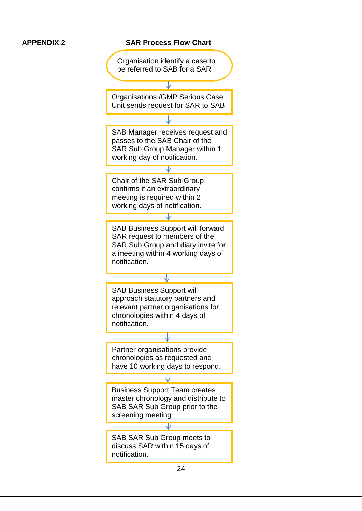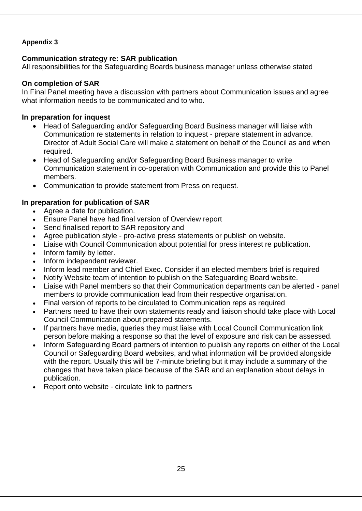# **Communication strategy re: SAR publication**

All responsibilities for the Safeguarding Boards business manager unless otherwise stated

# **On completion of SAR**

In Final Panel meeting have a discussion with partners about Communication issues and agree what information needs to be communicated and to who.

# **In preparation for inquest**

- Head of Safeguarding and/or Safeguarding Board Business manager will liaise with Communication re statements in relation to inquest - prepare statement in advance. Director of Adult Social Care will make a statement on behalf of the Council as and when required.
- Head of Safeguarding and/or Safeguarding Board Business manager to write Communication statement in co-operation with Communication and provide this to Panel members.
- Communication to provide statement from Press on request.

# **In preparation for publication of SAR**

- Agree a date for publication.
- Ensure Panel have had final version of Overview report
- Send finalised report to SAR repository and
- Agree publication style pro-active press statements or publish on website.
- Liaise with Council Communication about potential for press interest re publication.
- Inform family by letter.
- Inform independent reviewer.
- Inform lead member and Chief Exec. Consider if an elected members brief is required
- Notify Website team of intention to publish on the Safeguarding Board website.
- Liaise with Panel members so that their Communication departments can be alerted panel members to provide communication lead from their respective organisation.
- Final version of reports to be circulated to Communication reps as required
- Partners need to have their own statements ready and liaison should take place with Local Council Communication about prepared statements.
- If partners have media, queries they must liaise with Local Council Communication link person before making a response so that the level of exposure and risk can be assessed.
- Inform Safeguarding Board partners of intention to publish any reports on either of the Local Council or Safeguarding Board websites, and what information will be provided alongside with the report. Usually this will be 7-minute briefing but it may include a summary of the changes that have taken place because of the SAR and an explanation about delays in publication.
- Report onto website circulate link to partners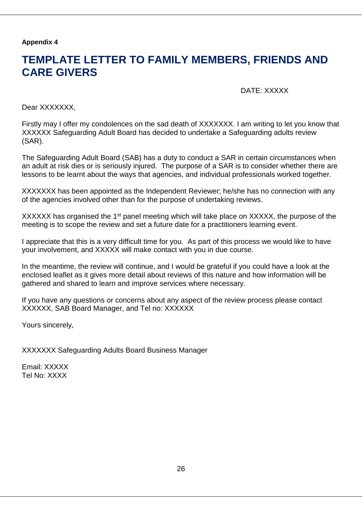# **TEMPLATE LETTER TO FAMILY MEMBERS, FRIENDS AND CARE GIVERS**

DATE: XXXXX

Dear XXXXXXX.

Firstly may I offer my condolences on the sad death of XXXXXXX. I am writing to let you know that XXXXXX Safeguarding Adult Board has decided to undertake a Safeguarding adults review (SAR).

The Safeguarding Adult Board (SAB) has a duty to conduct a SAR in certain circumstances when an adult at risk dies or is seriously injured. The purpose of a SAR is to consider whether there are lessons to be learnt about the ways that agencies, and individual professionals worked together.

XXXXXXX has been appointed as the Independent Reviewer; he/she has no connection with any of the agencies involved other than for the purpose of undertaking reviews.

XXXXXX has organised the 1<sup>st</sup> panel meeting which will take place on XXXXX, the purpose of the meeting is to scope the review and set a future date for a practitioners learning event.

I appreciate that this is a very difficult time for you. As part of this process we would like to have your involvement, and XXXXX will make contact with you in due course.

In the meantime, the review will continue, and I would be grateful if you could have a look at the enclosed leaflet as it gives more detail about reviews of this nature and how information will be gathered and shared to learn and improve services where necessary.

If you have any questions or concerns about any aspect of the review process please contact XXXXXX, SAB Board Manager, and Tel no: XXXXXX

Yours sincerely,

XXXXXXX Safeguarding Adults Board Business Manager

Email: XXXXX Tel No: XXXX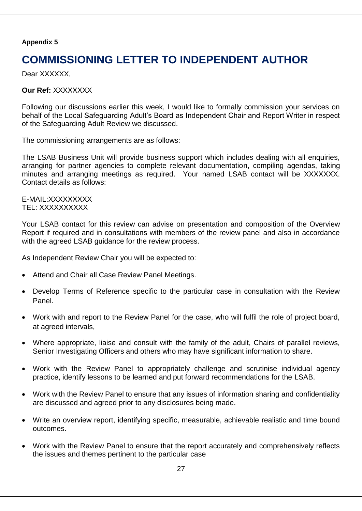# **COMMISSIONING LETTER TO INDEPENDENT AUTHOR**

Dear XXXXXX.

**Our Ref:** XXXXXXXX

Following our discussions earlier this week, I would like to formally commission your services on behalf of the Local Safeguarding Adult's Board as Independent Chair and Report Writer in respect of the Safeguarding Adult Review we discussed.

The commissioning arrangements are as follows:

The LSAB Business Unit will provide business support which includes dealing with all enquiries, arranging for partner agencies to complete relevant documentation, compiling agendas, taking minutes and arranging meetings as required. Your named LSAB contact will be XXXXXXX. Contact details as follows:

E-MAIL:XXXXXXXXX TEL: XXXXXXXXXX

Your LSAB contact for this review can advise on presentation and composition of the Overview Report if required and in consultations with members of the review panel and also in accordance with the agreed LSAB guidance for the review process.

As Independent Review Chair you will be expected to:

- Attend and Chair all Case Review Panel Meetings.
- Develop Terms of Reference specific to the particular case in consultation with the Review Panel.
- Work with and report to the Review Panel for the case, who will fulfil the role of project board, at agreed intervals,
- Where appropriate, liaise and consult with the family of the adult, Chairs of parallel reviews, Senior Investigating Officers and others who may have significant information to share.
- Work with the Review Panel to appropriately challenge and scrutinise individual agency practice, identify lessons to be learned and put forward recommendations for the LSAB.
- Work with the Review Panel to ensure that any issues of information sharing and confidentiality are discussed and agreed prior to any disclosures being made.
- Write an overview report, identifying specific, measurable, achievable realistic and time bound outcomes.
- Work with the Review Panel to ensure that the report accurately and comprehensively reflects the issues and themes pertinent to the particular case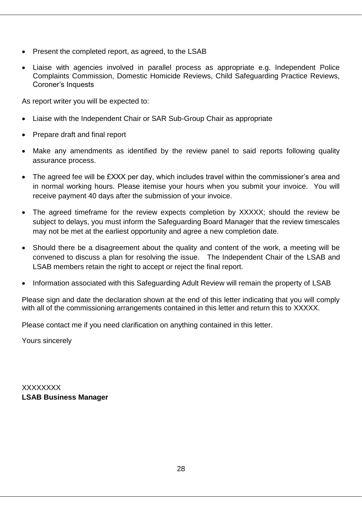- Present the completed report, as agreed, to the LSAB
- Liaise with agencies involved in parallel process as appropriate e.g. Independent Police Complaints Commission, Domestic Homicide Reviews, Child Safeguarding Practice Reviews, Coroner's Inquests

As report writer you will be expected to:

- Liaise with the Independent Chair or SAR Sub-Group Chair as appropriate
- Prepare draft and final report
- Make any amendments as identified by the review panel to said reports following quality assurance process.
- The agreed fee will be £XXX per day, which includes travel within the commissioner's area and in normal working hours. Please itemise your hours when you submit your invoice. You will receive payment 40 days after the submission of your invoice.
- The agreed timeframe for the review expects completion by XXXXX; should the review be subject to delays, you must inform the Safeguarding Board Manager that the review timescales may not be met at the earliest opportunity and agree a new completion date.
- Should there be a disagreement about the quality and content of the work, a meeting will be convened to discuss a plan for resolving the issue. The Independent Chair of the LSAB and LSAB members retain the right to accept or reject the final report.
- Information associated with this Safeguarding Adult Review will remain the property of LSAB

Please sign and date the declaration shown at the end of this letter indicating that you will comply with all of the commissioning arrangements contained in this letter and return this to XXXXX.

Please contact me if you need clarification on anything contained in this letter.

Yours sincerely

XXXXXXXX **LSAB Business Manager**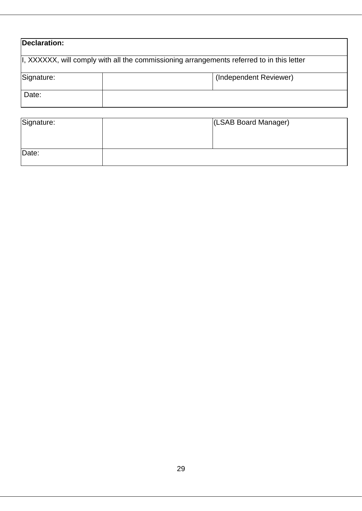| Declaration:                                                                               |  |                        |  |
|--------------------------------------------------------------------------------------------|--|------------------------|--|
| II, XXXXXX, will comply with all the commissioning arrangements referred to in this letter |  |                        |  |
| Signature:                                                                                 |  | (Independent Reviewer) |  |
| Date:                                                                                      |  |                        |  |

| Signature: | (LSAB Board Manager) |
|------------|----------------------|
|            |                      |
|            |                      |
| Date:      |                      |
|            |                      |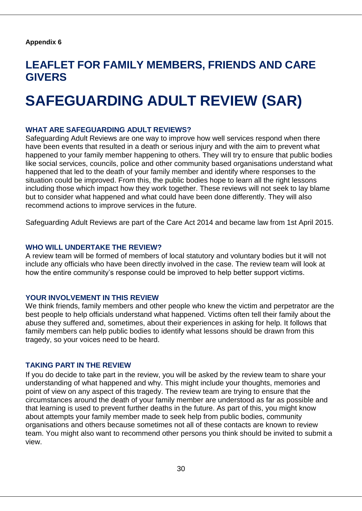# **LEAFLET FOR FAMILY MEMBERS, FRIENDS AND CARE GIVERS**

# **SAFEGUARDING ADULT REVIEW (SAR)**

#### **WHAT ARE SAFEGUARDING ADULT REVIEWS?**

Safeguarding Adult Reviews are one way to improve how well services respond when there have been events that resulted in a death or serious injury and with the aim to prevent what happened to your family member happening to others. They will try to ensure that public bodies like social services, councils, police and other community based organisations understand what happened that led to the death of your family member and identify where responses to the situation could be improved. From this, the public bodies hope to learn all the right lessons including those which impact how they work together. These reviews will not seek to lay blame but to consider what happened and what could have been done differently. They will also recommend actions to improve services in the future.

Safeguarding Adult Reviews are part of the Care Act 2014 and became law from 1st April 2015.

#### **WHO WILL UNDERTAKE THE REVIEW?**

A review team will be formed of members of local statutory and voluntary bodies but it will not include any officials who have been directly involved in the case. The review team will look at how the entire community's response could be improved to help better support victims.

#### **YOUR INVOLVEMENT IN THIS REVIEW**

We think friends, family members and other people who knew the victim and perpetrator are the best people to help officials understand what happened. Victims often tell their family about the abuse they suffered and, sometimes, about their experiences in asking for help. It follows that family members can help public bodies to identify what lessons should be drawn from this tragedy, so your voices need to be heard.

#### **TAKING PART IN THE REVIEW**

If you do decide to take part in the review, you will be asked by the review team to share your understanding of what happened and why. This might include your thoughts, memories and point of view on any aspect of this tragedy. The review team are trying to ensure that the circumstances around the death of your family member are understood as far as possible and that learning is used to prevent further deaths in the future. As part of this, you might know about attempts your family member made to seek help from public bodies, community organisations and others because sometimes not all of these contacts are known to review team. You might also want to recommend other persons you think should be invited to submit a view.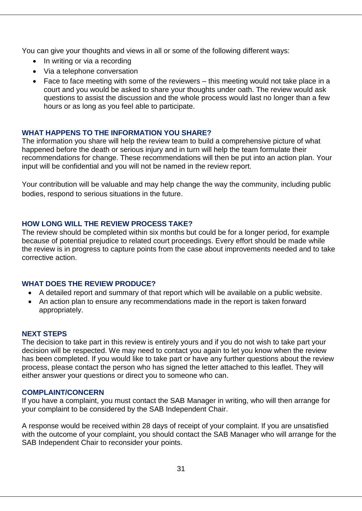You can give your thoughts and views in all or some of the following different ways:

- In writing or via a recording
- Via a telephone conversation
- Face to face meeting with some of the reviewers this meeting would not take place in a court and you would be asked to share your thoughts under oath. The review would ask questions to assist the discussion and the whole process would last no longer than a few hours or as long as you feel able to participate.

# **WHAT HAPPENS TO THE INFORMATION YOU SHARE?**

The information you share will help the review team to build a comprehensive picture of what happened before the death or serious injury and in turn will help the team formulate their recommendations for change. These recommendations will then be put into an action plan. Your input will be confidential and you will not be named in the review report.

Your contribution will be valuable and may help change the way the community, including public bodies, respond to serious situations in the future.

# **HOW LONG WILL THE REVIEW PROCESS TAKE?**

The review should be completed within six months but could be for a longer period, for example because of potential prejudice to related court proceedings. Every effort should be made while the review is in progress to capture points from the case about improvements needed and to take corrective action.

# **WHAT DOES THE REVIEW PRODUCE?**

- A detailed report and summary of that report which will be available on a public website.
- An action plan to ensure any recommendations made in the report is taken forward appropriately.

# **NEXT STEPS**

The decision to take part in this review is entirely yours and if you do not wish to take part your decision will be respected. We may need to contact you again to let you know when the review has been completed. If you would like to take part or have any further questions about the review process, please contact the person who has signed the letter attached to this leaflet. They will either answer your questions or direct you to someone who can.

#### **COMPLAINT/CONCERN**

If you have a complaint, you must contact the SAB Manager in writing, who will then arrange for your complaint to be considered by the SAB Independent Chair.

A response would be received within 28 days of receipt of your complaint. If you are unsatisfied with the outcome of your complaint, you should contact the SAB Manager who will arrange for the SAB Independent Chair to reconsider your points.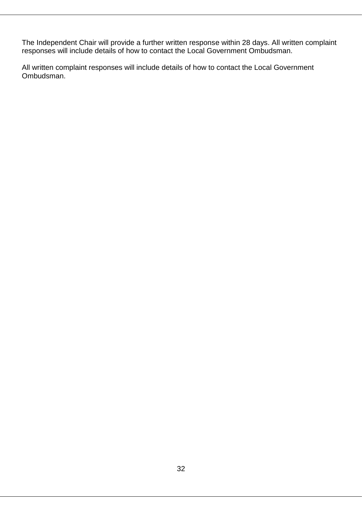The Independent Chair will provide a further written response within 28 days. All written complaint responses will include details of how to contact the Local Government Ombudsman.

All written complaint responses will include details of how to contact the Local Government Ombudsman.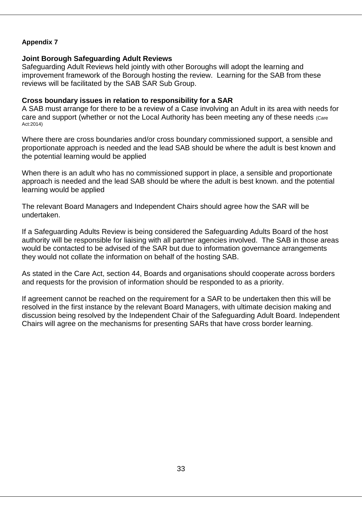#### **Joint Borough Safeguarding Adult Reviews**

Safeguarding Adult Reviews held jointly with other Boroughs will adopt the learning and improvement framework of the Borough hosting the review. Learning for the SAB from these reviews will be facilitated by the SAB SAR Sub Group.

#### **Cross boundary issues in relation to responsibility for a SAR**

A SAB must arrange for there to be a review of a Case involving an Adult in its area with needs for care and support (whether or not the Local Authority has been meeting any of these needs (Care Act:2014)

Where there are cross boundaries and/or cross boundary commissioned support, a sensible and proportionate approach is needed and the lead SAB should be where the adult is best known and the potential learning would be applied

When there is an adult who has no commissioned support in place, a sensible and proportionate approach is needed and the lead SAB should be where the adult is best known. and the potential learning would be applied

The relevant Board Managers and Independent Chairs should agree how the SAR will be undertaken.

If a Safeguarding Adults Review is being considered the Safeguarding Adults Board of the host authority will be responsible for liaising with all partner agencies involved. The SAB in those areas would be contacted to be advised of the SAR but due to information governance arrangements they would not collate the information on behalf of the hosting SAB.

As stated in the Care Act, section 44, Boards and organisations should cooperate across borders and requests for the provision of information should be responded to as a priority.

If agreement cannot be reached on the requirement for a SAR to be undertaken then this will be resolved in the first instance by the relevant Board Managers, with ultimate decision making and discussion being resolved by the Independent Chair of the Safeguarding Adult Board. Independent Chairs will agree on the mechanisms for presenting SARs that have cross border learning.